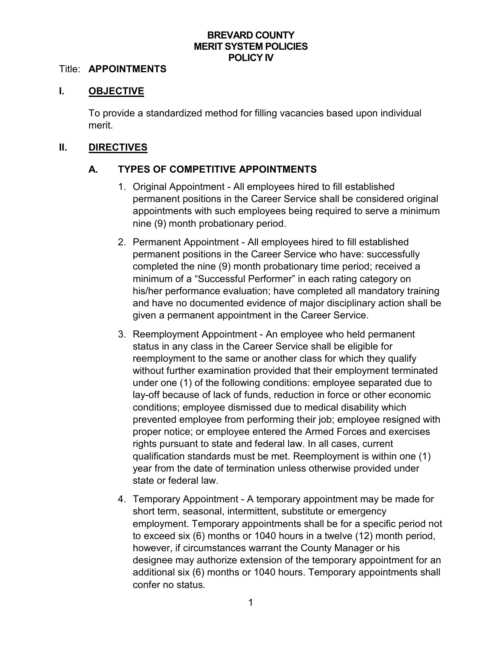### **BREVARD COUNTY MERIT SYSTEM POLICIES POLICY IV**

#### Title: **APPOINTMENTS**

### **I. OBJECTIVE**

To provide a standardized method for filling vacancies based upon individual merit.

### **II. DIRECTIVES**

## **A. TYPES OF COMPETITIVE APPOINTMENTS**

- 1. Original Appointment All employees hired to fill established permanent positions in the Career Service shall be considered original appointments with such employees being required to serve a minimum nine (9) month probationary period.
- 2. Permanent Appointment All employees hired to fill established permanent positions in the Career Service who have: successfully completed the nine (9) month probationary time period; received a minimum of a "Successful Performer" in each rating category on his/her performance evaluation; have completed all mandatory training and have no documented evidence of major disciplinary action shall be given a permanent appointment in the Career Service.
- 3. Reemployment Appointment An employee who held permanent status in any class in the Career Service shall be eligible for reemployment to the same or another class for which they qualify without further examination provided that their employment terminated under one (1) of the following conditions: employee separated due to lay-off because of lack of funds, reduction in force or other economic conditions; employee dismissed due to medical disability which prevented employee from performing their job; employee resigned with proper notice; or employee entered the Armed Forces and exercises rights pursuant to state and federal law. In all cases, current qualification standards must be met. Reemployment is within one (1) year from the date of termination unless otherwise provided under state or federal law.
- 4. Temporary Appointment A temporary appointment may be made for short term, seasonal, intermittent, substitute or emergency employment. Temporary appointments shall be for a specific period not to exceed six (6) months or 1040 hours in a twelve (12) month period, however, if circumstances warrant the County Manager or his designee may authorize extension of the temporary appointment for an additional six (6) months or 1040 hours. Temporary appointments shall confer no status.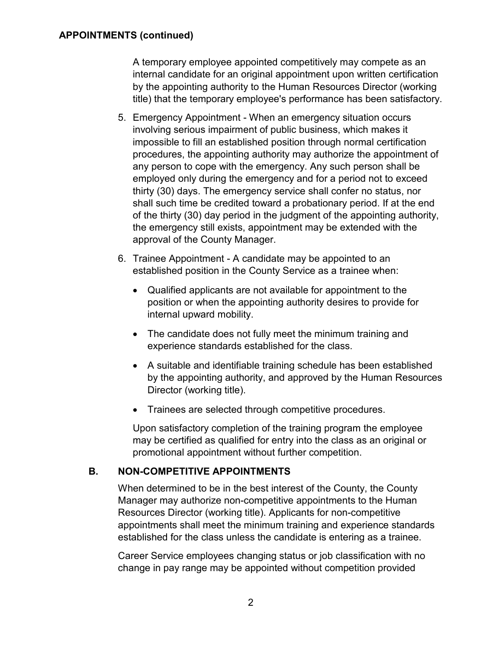A temporary employee appointed competitively may compete as an internal candidate for an original appointment upon written certification by the appointing authority to the Human Resources Director (working title) that the temporary employee's performance has been satisfactory.

- 5. Emergency Appointment When an emergency situation occurs involving serious impairment of public business, which makes it impossible to fill an established position through normal certification procedures, the appointing authority may authorize the appointment of any person to cope with the emergency. Any such person shall be employed only during the emergency and for a period not to exceed thirty (30) days. The emergency service shall confer no status, nor shall such time be credited toward a probationary period. If at the end of the thirty (30) day period in the judgment of the appointing authority, the emergency still exists, appointment may be extended with the approval of the County Manager.
- 6. Trainee Appointment A candidate may be appointed to an established position in the County Service as a trainee when:
	- Qualified applicants are not available for appointment to the position or when the appointing authority desires to provide for internal upward mobility.
	- The candidate does not fully meet the minimum training and experience standards established for the class.
	- A suitable and identifiable training schedule has been established by the appointing authority, and approved by the Human Resources Director (working title).
	- Trainees are selected through competitive procedures.

Upon satisfactory completion of the training program the employee may be certified as qualified for entry into the class as an original or promotional appointment without further competition.

# **B. NON-COMPETITIVE APPOINTMENTS**

When determined to be in the best interest of the County, the County Manager may authorize non-competitive appointments to the Human Resources Director (working title). Applicants for non-competitive appointments shall meet the minimum training and experience standards established for the class unless the candidate is entering as a trainee.

Career Service employees changing status or job classification with no change in pay range may be appointed without competition provided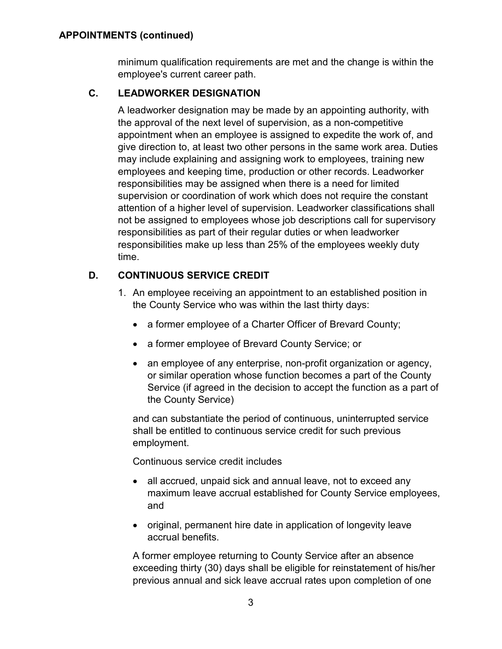### **APPOINTMENTS (continued)**

minimum qualification requirements are met and the change is within the employee's current career path.

## **C. LEADWORKER DESIGNATION**

A leadworker designation may be made by an appointing authority, with the approval of the next level of supervision, as a non-competitive appointment when an employee is assigned to expedite the work of, and give direction to, at least two other persons in the same work area. Duties may include explaining and assigning work to employees, training new employees and keeping time, production or other records. Leadworker responsibilities may be assigned when there is a need for limited supervision or coordination of work which does not require the constant attention of a higher level of supervision. Leadworker classifications shall not be assigned to employees whose job descriptions call for supervisory responsibilities as part of their regular duties or when leadworker responsibilities make up less than 25% of the employees weekly duty time.

## **D. CONTINUOUS SERVICE CREDIT**

- 1. An employee receiving an appointment to an established position in the County Service who was within the last thirty days:
	- a former employee of a Charter Officer of Brevard County;
	- a former employee of Brevard County Service; or
	- an employee of any enterprise, non-profit organization or agency, or similar operation whose function becomes a part of the County Service (if agreed in the decision to accept the function as a part of the County Service)

and can substantiate the period of continuous, uninterrupted service shall be entitled to continuous service credit for such previous employment.

Continuous service credit includes

- all accrued, unpaid sick and annual leave, not to exceed any maximum leave accrual established for County Service employees, and
- original, permanent hire date in application of longevity leave accrual benefits.

A former employee returning to County Service after an absence exceeding thirty (30) days shall be eligible for reinstatement of his/her previous annual and sick leave accrual rates upon completion of one